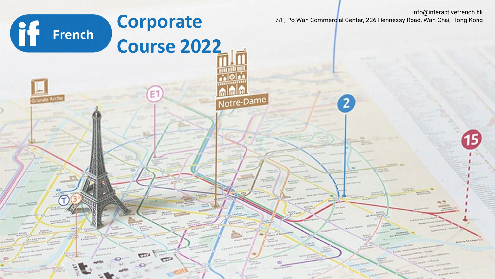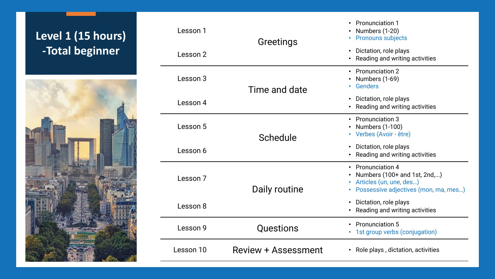## **Level 1 (15 hours) -Total beginner**



| Lesson 1  | Greetings                  | • Pronunciation 1<br>Numbers (1-20)<br><b>Pronouns subjects</b>                                                      |
|-----------|----------------------------|----------------------------------------------------------------------------------------------------------------------|
| Lesson 2  | Time and date              | • Dictation, role plays<br>Reading and writing activities                                                            |
| Lesson 3  |                            | • Pronunciation 2<br>• Numbers $(1-69)$<br>• Genders                                                                 |
| Lesson 4  | Schedule                   | • Dictation, role plays<br>Reading and writing activities                                                            |
| Lesson 5  |                            | • Pronunciation 3<br><b>Numbers (1-100)</b><br>• Verbes (Avoir - être)                                               |
| Lesson 6  | Daily routine              | • Dictation, role plays<br>• Reading and writing activities                                                          |
| Lesson 7  |                            | • Pronunciation 4<br>Numbers (100+ and 1st, 2nd,)<br>Articles (un, une, des)<br>Possessive adjectives (mon, ma, mes) |
| Lesson 8  |                            | • Dictation, role plays<br>Reading and writing activities                                                            |
| Lesson 9  | Questions                  | • Pronunciation 5<br>• 1st group verbs (conjugation)                                                                 |
| Lesson 10 | <b>Review + Assessment</b> | • Role plays, dictation, activities                                                                                  |